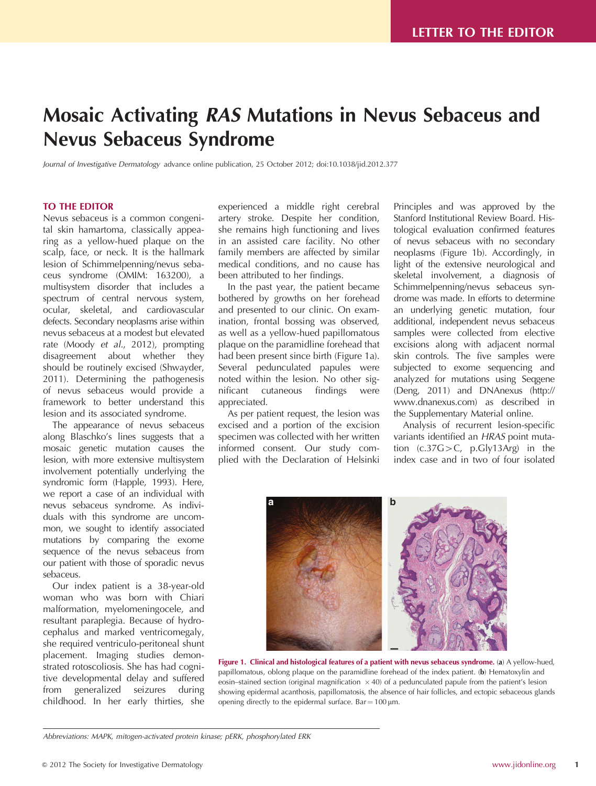# Mosaic Activating RAS Mutations in Nevus Sebaceus and Nevus Sebaceus Syndrome

Journal of Investigative Dermatology advance online publication, 25 October 2012; doi:[10.1038/jid.2012.377](http://dx.doi.org/10.1038/jid.2012.377)

### TO THE EDITOR

Nevus sebaceus is a common congenital skin hamartoma, classically appearing as a yellow-hued plaque on the scalp, face, or neck. It is the hallmark lesion of Schimmelpenning/nevus sebaceus syndrome (OMIM: 163200), a multisystem disorder that includes a spectrum of central nervous system, ocular, skeletal, and cardiovascular defects. Secondary neoplasms arise within nevus sebaceus at a modest but elevated rate (Moody et al.[, 2012\)](#page-2-0), prompting disagreement about whether they should be routinely excised ([Shwayder,](#page-2-0) [2011](#page-2-0)). Determining the pathogenesis of nevus sebaceus would provide a framework to better understand this lesion and its associated syndrome.

The appearance of nevus sebaceus along Blaschko's lines suggests that a mosaic genetic mutation causes the lesion, with more extensive multisystem involvement potentially underlying the syndromic form ([Happle, 1993](#page-2-0)). Here, we report a case of an individual with nevus sebaceus syndrome. As individuals with this syndrome are uncommon, we sought to identify associated mutations by comparing the exome sequence of the nevus sebaceus from our patient with those of sporadic nevus sebaceus.

Our index patient is a 38-year-old woman who was born with Chiari malformation, myelomeningocele, and resultant paraplegia. Because of hydrocephalus and marked ventricomegaly, she required ventriculo-peritoneal shunt placement. Imaging studies demonstrated rotoscoliosis. She has had cognitive developmental delay and suffered from generalized seizures during childhood. In her early thirties, she

experienced a middle right cerebral artery stroke. Despite her condition, she remains high functioning and lives in an assisted care facility. No other family members are affected by similar medical conditions, and no cause has been attributed to her findings.

In the past year, the patient became bothered by growths on her forehead and presented to our clinic. On examination, frontal bossing was observed, as well as a yellow-hued papillomatous plaque on the paramidline forehead that had been present since birth (Figure 1a). Several pedunculated papules were noted within the lesion. No other significant cutaneous findings were appreciated.

As per patient request, the lesion was excised and a portion of the excision specimen was collected with her written informed consent. Our study complied with the Declaration of Helsinki

Principles and was approved by the Stanford Institutional Review Board. Histological evaluation confirmed features of nevus sebaceus with no secondary neoplasms (Figure 1b). Accordingly, in light of the extensive neurological and skeletal involvement, a diagnosis of Schimmelpenning/nevus sebaceus syndrome was made. In efforts to determine an underlying genetic mutation, four additional, independent nevus sebaceus samples were collected from elective excisions along with adjacent normal skin controls. The five samples were subjected to exome sequencing and analyzed for mutations using Seqgene ([Deng, 2011\)](#page-2-0) and DNAnexus [\(http://](http://www.dnanexus.com) [www.dnanexus.com](http://www.dnanexus.com)) as described in the Supplementary Material online.

Analysis of recurrent lesion-specific variants identified an HRAS point mutation  $(c.37G>C, p.Gly13Arg)$  in the index case and in two of four isolated



Figure 1. Clinical and histological features of a patient with nevus sebaceus syndrome. (a) A yellow-hued, papillomatous, oblong plaque on the paramidline forehead of the index patient. (b) Hematoxylin and eosin–stained section (original magnification  $\times$  40) of a pedunculated papule from the patient's lesion showing epidermal acanthosis, papillomatosis, the absence of hair follicles, and ectopic sebaceous glands opening directly to the epidermal surface. Bar =  $100 \mu m$ .

Abbreviations: MAPK, mitogen-activated protein kinase; pERK, phosphorylated ERK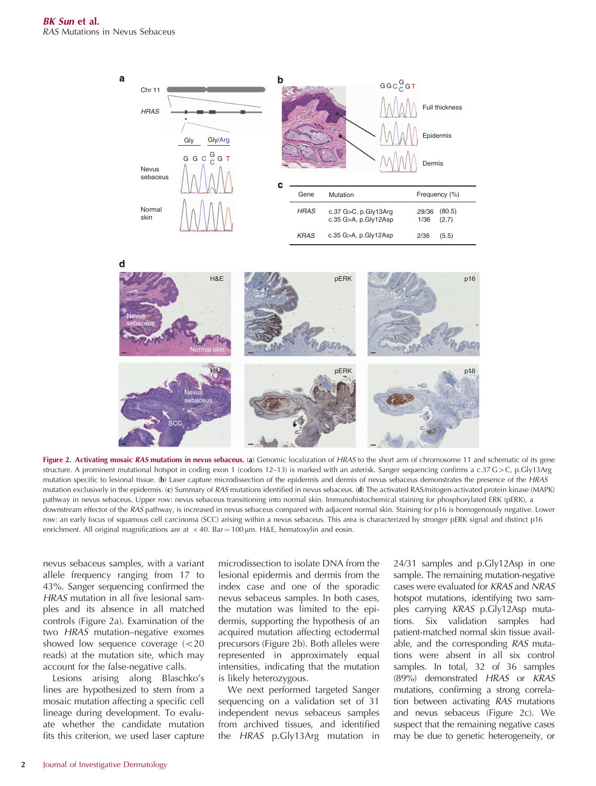<span id="page-1-0"></span>



Figure 2. Activating mosaic RAS mutations in nevus sebaceus. (a) Genomic localization of HRAS to the short arm of chromosome 11 and schematic of its gene structure. A prominent mutational hotspot in coding exon 1 (codons 12–13) is marked with an asterisk. Sanger sequencing confirms a c.37 G > C, p.Gly13Arg mutation specific to lesional tissue. (b) Laser capture microdissection of the epidermis and dermis of nevus sebaceus demonstrates the presence of the HRAS mutation exclusively in the epidermis. (c) Summary of RAS mutations identified in nevus sebaceus. (d) The activated RAS/mitogen-activated protein kinase (MAPK) pathway in nevus sebaceus. Upper row: nevus sebaceus transitioning into normal skin. Immunohistochemical staining for phosphorylated ERK (pERK), a downstream effector of the RAS pathway, is increased in nevus sebaceus compared with adjacent normal skin. Staining for p16 is homogenously negative. Lower row: an early focus of squamous cell carcinoma (SCC) arising within a nevus sebaceus. This area is characterized by stronger pERK signal and distinct p16 enrichment. All original magnifications are at  $\times$  40. Bar = 100 µm. H&E, hematoxylin and eosin.

nevus sebaceus samples, with a variant allele frequency ranging from 17 to 43%. Sanger sequencing confirmed the HRAS mutation in all five lesional samples and its absence in all matched controls (Figure 2a). Examination of the two HRAS mutation–negative exomes showed low sequence coverage  $\leq 20$ reads) at the mutation site, which may account for the false-negative calls.

Lesions arising along Blaschko's lines are hypothesized to stem from a mosaic mutation affecting a specific cell lineage during development. To evaluate whether the candidate mutation fits this criterion, we used laser capture microdissection to isolate DNA from the lesional epidermis and dermis from the index case and one of the sporadic nevus sebaceus samples. In both cases, the mutation was limited to the epidermis, supporting the hypothesis of an acquired mutation affecting ectodermal precursors (Figure 2b). Both alleles were represented in approximately equal intensities, indicating that the mutation is likely heterozygous.

We next performed targeted Sanger sequencing on a validation set of 31 independent nevus sebaceus samples from archived tissues, and identified the HRAS p.Gly13Arg mutation in

24/31 samples and p.Gly12Asp in one sample. The remaining mutation-negative cases were evaluated for KRAS and NRAS hotspot mutations, identifying two samples carrying KRAS p.Gly12Asp mutations. Six validation samples had patient-matched normal skin tissue available, and the corresponding RAS mutations were absent in all six control samples. In total, 32 of 36 samples (89%) demonstrated HRAS or KRAS mutations, confirming a strong correlation between activating RAS mutations and nevus sebaceus (Figure 2c). We suspect that the remaining negative cases may be due to genetic heterogeneity, or